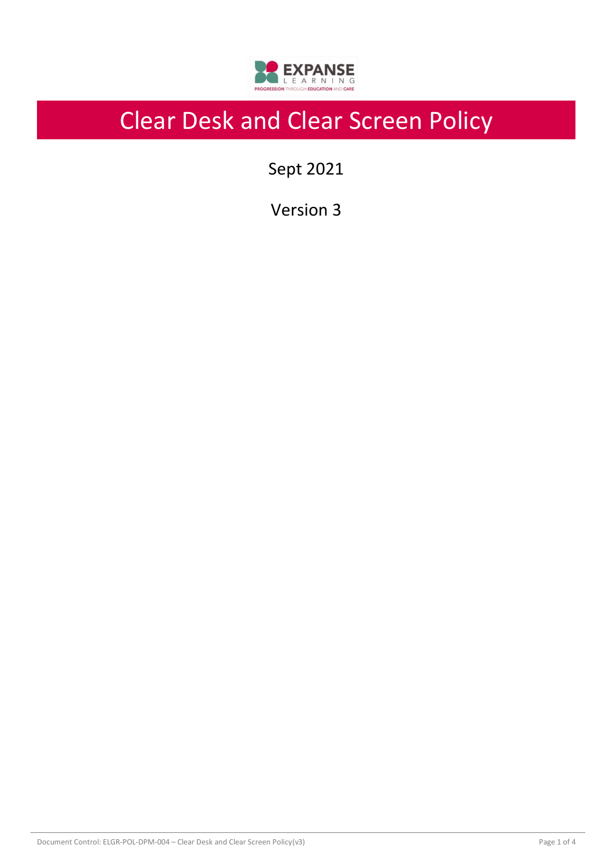

# Clear Desk and Clear Screen Policy

Sept 2021

Version 3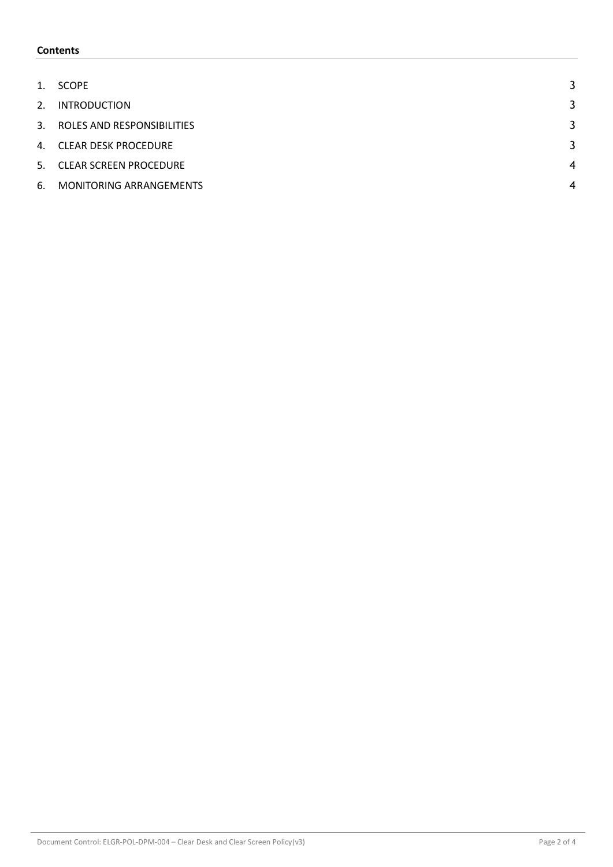### **Contents**

| 1. | <b>SCOPE</b>                  |                |
|----|-------------------------------|----------------|
| 2. | <b>INTRODUCTION</b>           | 3              |
|    | 3. ROLES AND RESPONSIBILITIES | 3              |
|    | 4. CLEAR DESK PROCEDURE       | 3              |
|    | 5. CLEAR SCREEN PROCEDURE     | $\overline{4}$ |
| 6. | MONITORING ARRANGEMENTS       | 4              |
|    |                               |                |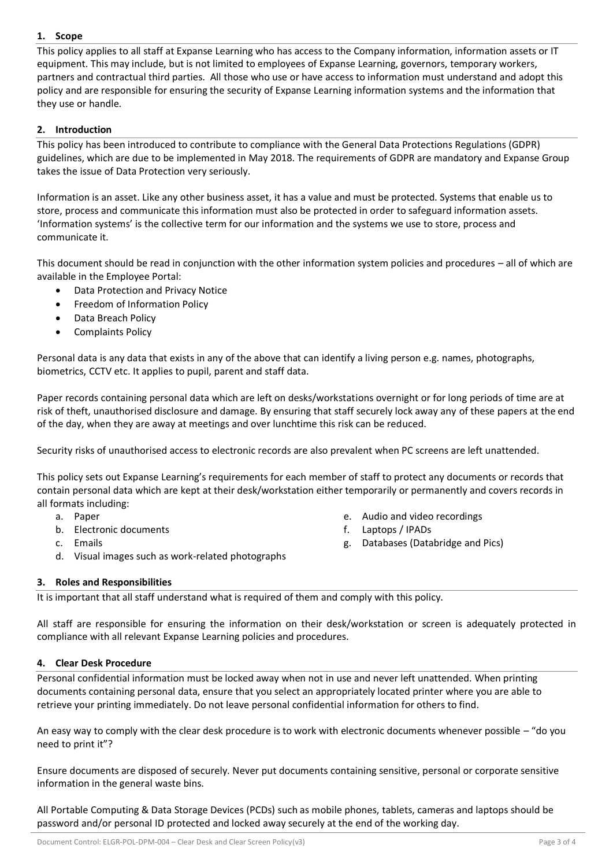# <span id="page-2-0"></span>**1. Scope**

This policy applies to all staff at Expanse Learning who has access to the Company information, information assets or IT equipment. This may include, but is not limited to employees of Expanse Learning, governors, temporary workers, partners and contractual third parties. All those who use or have access to information must understand and adopt this policy and are responsible for ensuring the security of Expanse Learning information systems and the information that they use or handle.

## <span id="page-2-1"></span>**2. Introduction**

This policy has been introduced to contribute to compliance with the General Data Protections Regulations (GDPR) guidelines, which are due to be implemented in May 2018. The requirements of GDPR are mandatory and Expanse Group takes the issue of Data Protection very seriously.

Information is an asset. Like any other business asset, it has a value and must be protected. Systems that enable us to store, process and communicate this information must also be protected in order to safeguard information assets. 'Information systems' is the collective term for our information and the systems we use to store, process and communicate it.

This document should be read in conjunction with the other information system policies and procedures – all of which are available in the Employee Portal:

- Data Protection and Privacy Notice
- Freedom of Information Policy
- Data Breach Policy
- Complaints Policy

Personal data is any data that exists in any of the above that can identify a living person e.g. names, photographs, biometrics, CCTV etc. It applies to pupil, parent and staff data.

Paper records containing personal data which are left on desks/workstations overnight or for long periods of time are at risk of theft, unauthorised disclosure and damage. By ensuring that staff securely lock away any of these papers at the end of the day, when they are away at meetings and over lunchtime this risk can be reduced.

Security risks of unauthorised access to electronic records are also prevalent when PC screens are left unattended.

This policy sets out Expanse Learning's requirements for each member of staff to protect any documents or records that contain personal data which are kept at their desk/workstation either temporarily or permanently and covers records in all formats including:

- a. Paper
- b. Electronic documents
- c. Emails
- d. Visual images such as work-related photographs
- e. Audio and video recordings
- f. Laptops / IPADs
- g. Databases (Databridge and Pics)

# <span id="page-2-2"></span>**3. Roles and Responsibilities**

It is important that all staff understand what is required of them and comply with this policy.

All staff are responsible for ensuring the information on their desk/workstation or screen is adequately protected in compliance with all relevant Expanse Learning policies and procedures.

#### <span id="page-2-3"></span>**4. Clear Desk Procedure**

Personal confidential information must be locked away when not in use and never left unattended. When printing documents containing personal data, ensure that you select an appropriately located printer where you are able to retrieve your printing immediately. Do not leave personal confidential information for others to find.

An easy way to comply with the clear desk procedure is to work with electronic documents whenever possible – "do you need to print it"?

Ensure documents are disposed of securely. Never put documents containing sensitive, personal or corporate sensitive information in the general waste bins.

All Portable Computing & Data Storage Devices (PCDs) such as mobile phones, tablets, cameras and laptops should be password and/or personal ID protected and locked away securely at the end of the working day.